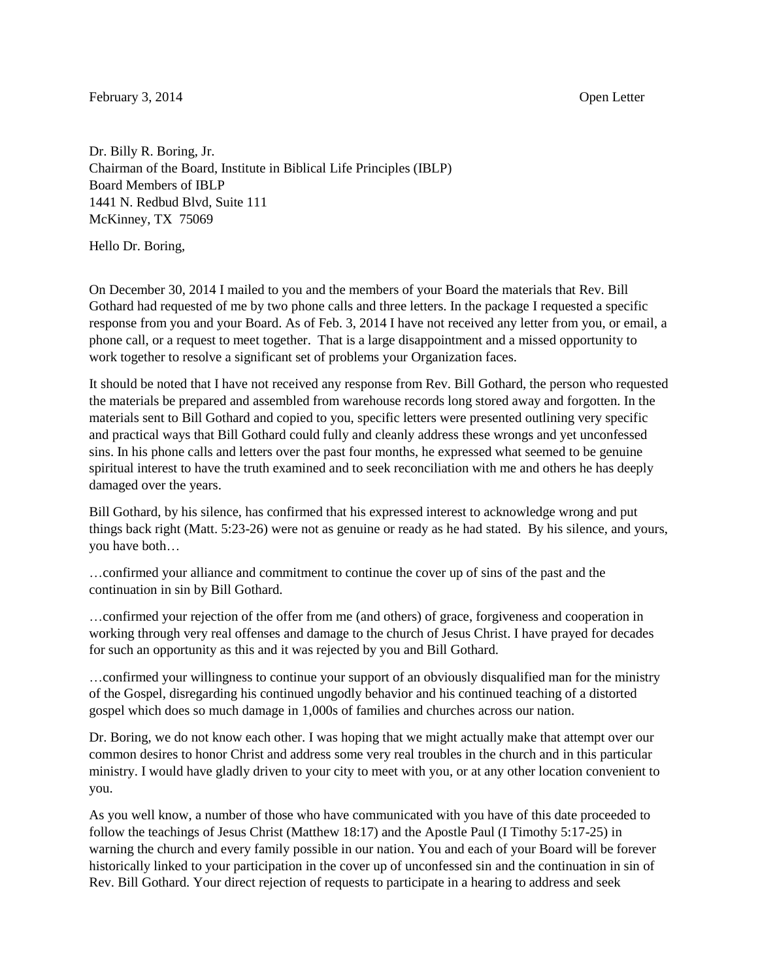## February 3, 2014 **Open Letter**

Dr. Billy R. Boring, Jr. Chairman of the Board, Institute in Biblical Life Principles (IBLP) Board Members of IBLP 1441 N. Redbud Blvd, Suite 111 McKinney, TX 75069

Hello Dr. Boring,

On December 30, 2014 I mailed to you and the members of your Board the materials that Rev. Bill Gothard had requested of me by two phone calls and three letters. In the package I requested a specific response from you and your Board. As of Feb. 3, 2014 I have not received any letter from you, or email, a phone call, or a request to meet together. That is a large disappointment and a missed opportunity to work together to resolve a significant set of problems your Organization faces.

It should be noted that I have not received any response from Rev. Bill Gothard, the person who requested the materials be prepared and assembled from warehouse records long stored away and forgotten. In the materials sent to Bill Gothard and copied to you, specific letters were presented outlining very specific and practical ways that Bill Gothard could fully and cleanly address these wrongs and yet unconfessed sins. In his phone calls and letters over the past four months, he expressed what seemed to be genuine spiritual interest to have the truth examined and to seek reconciliation with me and others he has deeply damaged over the years.

Bill Gothard, by his silence, has confirmed that his expressed interest to acknowledge wrong and put things back right (Matt. 5:23-26) were not as genuine or ready as he had stated. By his silence, and yours, you have both…

…confirmed your alliance and commitment to continue the cover up of sins of the past and the continuation in sin by Bill Gothard.

…confirmed your rejection of the offer from me (and others) of grace, forgiveness and cooperation in working through very real offenses and damage to the church of Jesus Christ. I have prayed for decades for such an opportunity as this and it was rejected by you and Bill Gothard.

…confirmed your willingness to continue your support of an obviously disqualified man for the ministry of the Gospel, disregarding his continued ungodly behavior and his continued teaching of a distorted gospel which does so much damage in 1,000s of families and churches across our nation.

Dr. Boring, we do not know each other. I was hoping that we might actually make that attempt over our common desires to honor Christ and address some very real troubles in the church and in this particular ministry. I would have gladly driven to your city to meet with you, or at any other location convenient to you.

As you well know, a number of those who have communicated with you have of this date proceeded to follow the teachings of Jesus Christ (Matthew 18:17) and the Apostle Paul (I Timothy 5:17-25) in warning the church and every family possible in our nation. You and each of your Board will be forever historically linked to your participation in the cover up of unconfessed sin and the continuation in sin of Rev. Bill Gothard. Your direct rejection of requests to participate in a hearing to address and seek